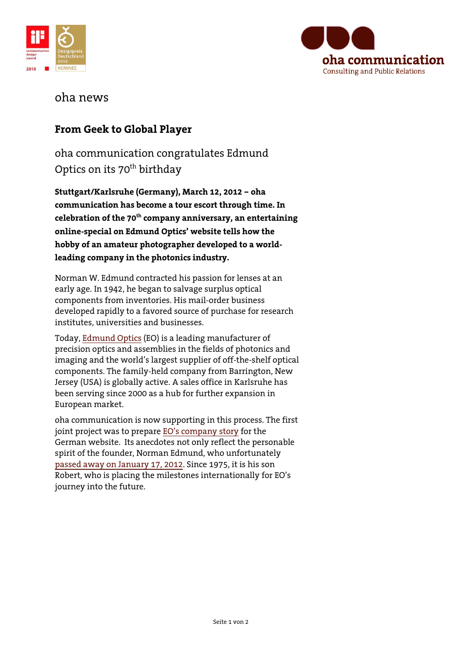



## oha news

## **From Geek to Global Player**

oha communication congratulates Edmund Optics on its 70<sup>th</sup> birthday

**Stuttgart/Karlsruhe (Germany), March 12, 2012 – oha communication has become a tour escort through time. In celebration of the 70th company anniversary, an entertaining online-special on Edmund Optics' website tells how the hobby of an amateur photographer developed to a worldleading company in the photonics industry.** 

Norman W. Edmund contracted his passion for lenses at an early age. In 1942, he began to salvage surplus optical components from inventories. His mail-order business developed rapidly to a favored source of purchase for research institutes, universities and businesses.

Today, [Edmund Optics](http://www.edmundoptics.com/) (EO) is a leading manufacturer of precision optics and assemblies in the fields of photonics and imaging and the world's largest supplier of off-the-shelf optical components. The family-held company from Barrington, New Jersey (USA) is globally active. A sales office in Karlsruhe has been serving since 2000 as a hub for further expansion in European market.

oha communication is now supporting in this process. The first joint project was to prepare EO'[s company story](http://www.edmundoptics.com/company/history/timeline/) for the German website. Its anecdotes not only reflect the personable spirit of the founder, Norman Edmund, who unfortunately passed away [on January 17,](http://www.edmundoptics.com/company/press-releases/press-article.cfm?newsid=359&newstype=3) 2012. Since 1975, it is his son Robert, who is placing the milestones internationally for EO's journey into the future.